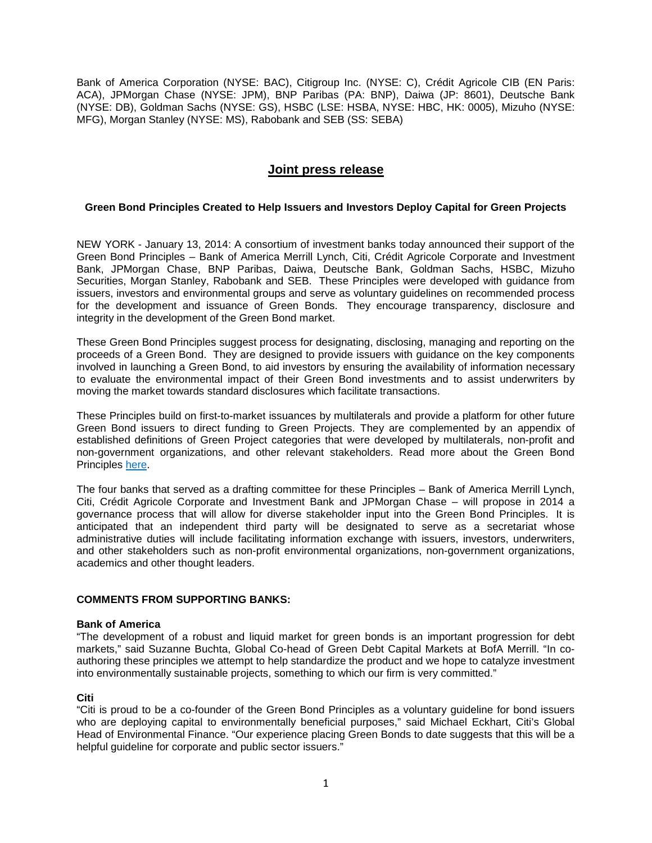Bank of America Corporation (NYSE: BAC), Citigroup Inc. (NYSE: C), Crédit Agricole CIB (EN Paris: ACA), JPMorgan Chase (NYSE: JPM), BNP Paribas (PA: BNP), Daiwa (JP: 8601), Deutsche Bank (NYSE: DB), Goldman Sachs (NYSE: GS), HSBC (LSE: HSBA, NYSE: HBC, HK: 0005), Mizuho (NYSE: MFG), Morgan Stanley (NYSE: MS), Rabobank and SEB (SS: SEBA)

# **Joint press release**

# **Green Bond Principles Created to Help Issuers and Investors Deploy Capital for Green Projects**

NEW YORK - January 13, 2014: A consortium of investment banks today announced their support of the Green Bond Principles – Bank of America Merrill Lynch, Citi, Crédit Agricole Corporate and Investment Bank, JPMorgan Chase, BNP Paribas, Daiwa, Deutsche Bank, Goldman Sachs, HSBC, Mizuho Securities, Morgan Stanley, Rabobank and SEB. These Principles were developed with guidance from issuers, investors and environmental groups and serve as voluntary guidelines on recommended process for the development and issuance of Green Bonds. They encourage transparency, disclosure and integrity in the development of the Green Bond market.

These Green Bond Principles suggest process for designating, disclosing, managing and reporting on the proceeds of a Green Bond. They are designed to provide issuers with guidance on the key components involved in launching a Green Bond, to aid investors by ensuring the availability of information necessary to evaluate the environmental impact of their Green Bond investments and to assist underwriters by moving the market towards standard disclosures which facilitate transactions.

These Principles build on first-to-market issuances by multilaterals and provide a platform for other future Green Bond issuers to direct funding to Green Projects. They are complemented by an appendix of established definitions of Green Project categories that were developed by multilaterals, non-profit and non-government organizations, and other relevant stakeholders. Read more about the Green Bond Principles [here.](http://www.ceres.org/greenbondprinciples)

The four banks that served as a drafting committee for these Principles – Bank of America Merrill Lynch, Citi, Crédit Agricole Corporate and Investment Bank and JPMorgan Chase – will propose in 2014 a governance process that will allow for diverse stakeholder input into the Green Bond Principles. It is anticipated that an independent third party will be designated to serve as a secretariat whose administrative duties will include facilitating information exchange with issuers, investors, underwriters, and other stakeholders such as non-profit environmental organizations, non-government organizations, academics and other thought leaders.

# **COMMENTS FROM SUPPORTING BANKS:**

#### **Bank of America**

"The development of a robust and liquid market for green bonds is an important progression for debt markets," said Suzanne Buchta, Global Co-head of Green Debt Capital Markets at BofA Merrill. "In coauthoring these principles we attempt to help standardize the product and we hope to catalyze investment into environmentally sustainable projects, something to which our firm is very committed."

# **Citi**

"Citi is proud to be a co-founder of the Green Bond Principles as a voluntary guideline for bond issuers who are deploying capital to environmentally beneficial purposes," said Michael Eckhart, Citi's Global Head of Environmental Finance. "Our experience placing Green Bonds to date suggests that this will be a helpful guideline for corporate and public sector issuers."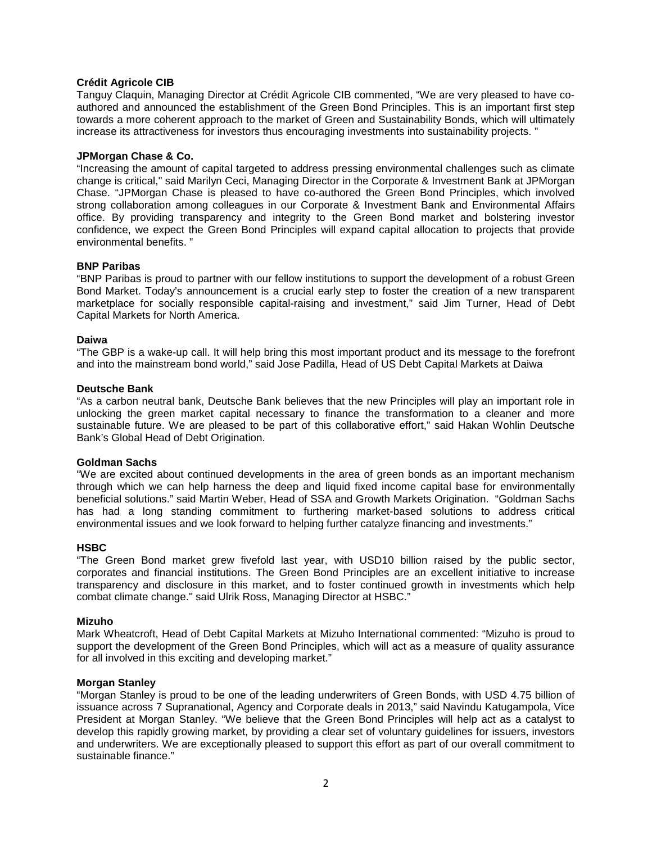# **Crédit Agricole CIB**

Tanguy Claquin, Managing Director at Crédit Agricole CIB commented, "We are very pleased to have coauthored and announced the establishment of the Green Bond Principles. This is an important first step towards a more coherent approach to the market of Green and Sustainability Bonds, which will ultimately increase its attractiveness for investors thus encouraging investments into sustainability projects. "

### **JPMorgan Chase & Co.**

"Increasing the amount of capital targeted to address pressing environmental challenges such as climate change is critical," said Marilyn Ceci, Managing Director in the Corporate & Investment Bank at JPMorgan Chase. "JPMorgan Chase is pleased to have co-authored the Green Bond Principles, which involved strong collaboration among colleagues in our Corporate & Investment Bank and Environmental Affairs office. By providing transparency and integrity to the Green Bond market and bolstering investor confidence, we expect the Green Bond Principles will expand capital allocation to projects that provide environmental benefits. "

### **BNP Paribas**

"BNP Paribas is proud to partner with our fellow institutions to support the development of a robust Green Bond Market. Today's announcement is a crucial early step to foster the creation of a new transparent marketplace for socially responsible capital-raising and investment," said Jim Turner, Head of Debt Capital Markets for North America.

### **Daiwa**

"The GBP is a wake-up call. It will help bring this most important product and its message to the forefront and into the mainstream bond world," said Jose Padilla, Head of US Debt Capital Markets at Daiwa

#### **Deutsche Bank**

"As a carbon neutral bank, Deutsche Bank believes that the new Principles will play an important role in unlocking the green market capital necessary to finance the transformation to a cleaner and more sustainable future. We are pleased to be part of this collaborative effort," said Hakan Wohlin Deutsche Bank's Global Head of Debt Origination.

#### **Goldman Sachs**

"We are excited about continued developments in the area of green bonds as an important mechanism through which we can help harness the deep and liquid fixed income capital base for environmentally beneficial solutions." said Martin Weber, Head of SSA and Growth Markets Origination. "Goldman Sachs has had a long standing commitment to furthering market-based solutions to address critical environmental issues and we look forward to helping further catalyze financing and investments."

#### **HSBC**

"The Green Bond market grew fivefold last year, with USD10 billion raised by the public sector, corporates and financial institutions. The Green Bond Principles are an excellent initiative to increase transparency and disclosure in this market, and to foster continued growth in investments which help combat climate change." said Ulrik Ross, Managing Director at HSBC."

### **Mizuho**

Mark Wheatcroft, Head of Debt Capital Markets at Mizuho International commented: "Mizuho is proud to support the development of the Green Bond Principles, which will act as a measure of quality assurance for all involved in this exciting and developing market."

# **Morgan Stanley**

"Morgan Stanley is proud to be one of the leading underwriters of Green Bonds, with USD 4.75 billion of issuance across 7 Supranational, Agency and Corporate deals in 2013," said Navindu Katugampola, Vice President at Morgan Stanley. "We believe that the Green Bond Principles will help act as a catalyst to develop this rapidly growing market, by providing a clear set of voluntary guidelines for issuers, investors and underwriters. We are exceptionally pleased to support this effort as part of our overall commitment to sustainable finance."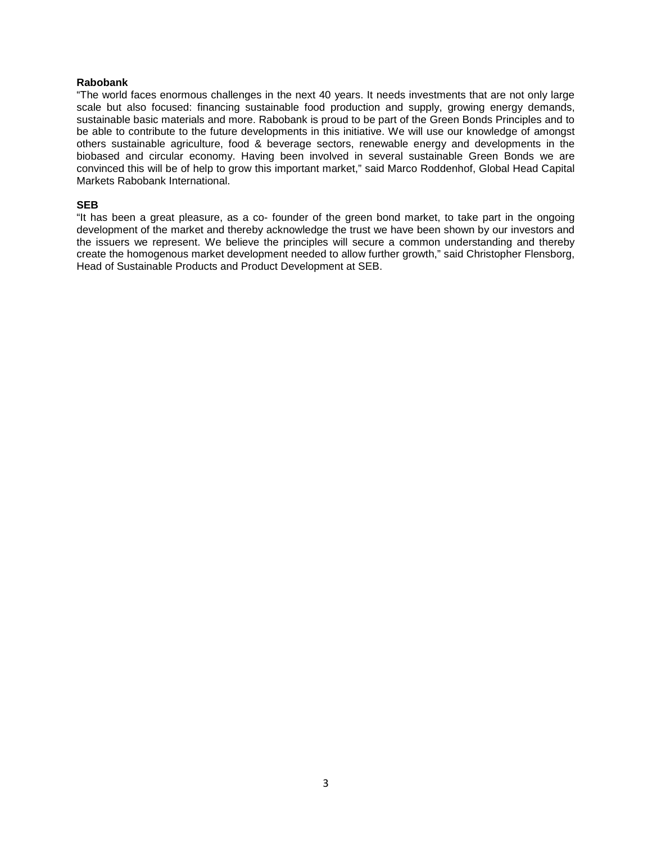# **Rabobank**

"The world faces enormous challenges in the next 40 years. It needs investments that are not only large scale but also focused: financing sustainable food production and supply, growing energy demands, sustainable basic materials and more. Rabobank is proud to be part of the Green Bonds Principles and to be able to contribute to the future developments in this initiative. We will use our knowledge of amongst others sustainable agriculture, food & beverage sectors, renewable energy and developments in the biobased and circular economy. Having been involved in several sustainable Green Bonds we are convinced this will be of help to grow this important market," said Marco Roddenhof, Global Head Capital Markets Rabobank International.

### **SEB**

"It has been a great pleasure, as a co- founder of the green bond market, to take part in the ongoing development of the market and thereby acknowledge the trust we have been shown by our investors and the issuers we represent. We believe the principles will secure a common understanding and thereby create the homogenous market development needed to allow further growth," said Christopher Flensborg, Head of Sustainable Products and Product Development at SEB.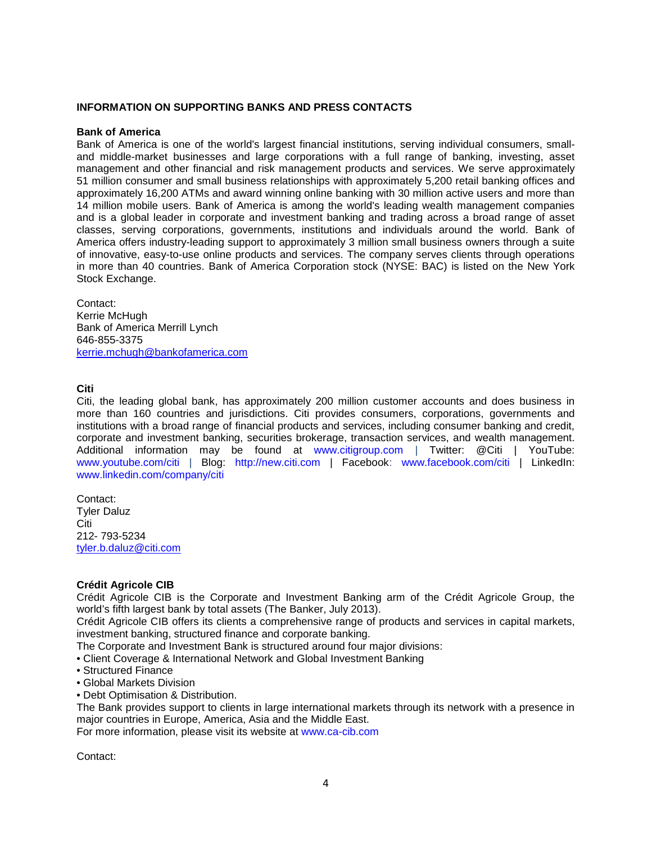### **INFORMATION ON SUPPORTING BANKS AND PRESS CONTACTS**

#### **Bank of America**

Bank of America is one of the world's largest financial institutions, serving individual consumers, smalland middle-market businesses and large corporations with a full range of banking, investing, asset management and other financial and risk management products and services. We serve approximately 51 million consumer and small business relationships with approximately 5,200 retail banking offices and approximately 16,200 ATMs and award winning online banking with 30 million active users and more than 14 million mobile users. Bank of America is among the world's leading wealth management companies and is a global leader in corporate and investment banking and trading across a broad range of asset classes, serving corporations, governments, institutions and individuals around the world. Bank of America offers industry-leading support to approximately 3 million small business owners through a suite of innovative, easy-to-use online products and services. The company serves clients through operations in more than 40 countries. Bank of America Corporation stock (NYSE: BAC) is listed on the New York Stock Exchange.

Contact: Kerrie McHugh Bank of America Merrill Lynch 646-855-3375 kerrie.mchugh@bankofamerica.com

# **Citi**

Citi, the leading global bank, has approximately 200 million customer accounts and does business in more than 160 countries and jurisdictions. Citi provides consumers, corporations, governments and institutions with a broad range of financial products and services, including consumer banking and credit, corporate and investment banking, securities brokerage, transaction services, and wealth management. Additional information may be found at www.citigroup.com | Twitter: @Citi | YouTube: www.youtube.com/citi | Blog: http://new.citi.com | Facebook: www.facebook.com/citi | LinkedIn: www.linkedin.com/company/citi

Contact: Tyler Daluz Citi 212- 793-5234 tyler.b.daluz@citi.com

# **Crédit Agricole CIB**

Crédit Agricole CIB is the Corporate and Investment Banking arm of the Crédit Agricole Group, the world's fifth largest bank by total assets (The Banker, July 2013).

Crédit Agricole CIB offers its clients a comprehensive range of products and services in capital markets, investment banking, structured finance and corporate banking.

- The Corporate and Investment Bank is structured around four major divisions:
- Client Coverage & International Network and Global Investment Banking
- Structured Finance
- Global Markets Division
- Debt Optimisation & Distribution.

The Bank provides support to clients in large international markets through its network with a presence in major countries in Europe, America, Asia and the Middle East.

For more information, please visit its website at www.ca-cib.com

Contact: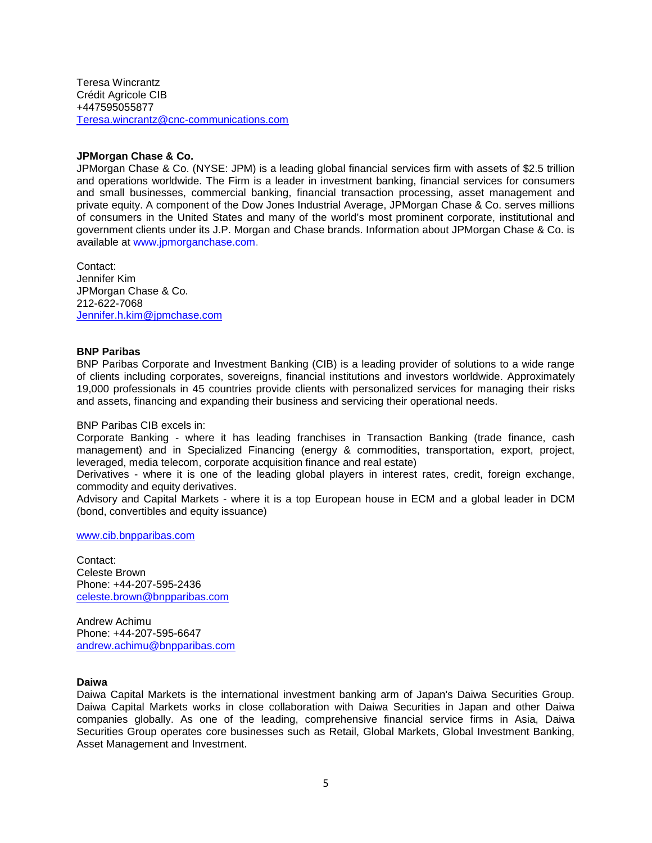Teresa Wincrantz Crédit Agricole CIB +447595055877 [Teresa.wincrantz@cnc-communications.com](mailto:Teresa.wincrantz@cnc-communications.com)

# **JPMorgan Chase & Co.**

JPMorgan Chase & Co. (NYSE: JPM) is a leading global financial services firm with assets of \$2.5 trillion and operations worldwide. The Firm is a leader in investment banking, financial services for consumers and small businesses, commercial banking, financial transaction processing, asset management and private equity. A component of the Dow Jones Industrial Average, JPMorgan Chase & Co. serves millions of consumers in the United States and many of the world's most prominent corporate, institutional and government clients under its J.P. Morgan and Chase brands. Information about JPMorgan Chase & Co. is available at www.jpmorganchase.com.

Contact: Jennifer Kim JPMorgan Chase & Co. 212-622-7068 [Jennifer.h.kim@jpmchase.com](mailto:Jennifer.h.kim@jpmchase.com)

# **BNP Paribas**

BNP Paribas Corporate and Investment Banking (CIB) is a leading provider of solutions to a wide range of clients including corporates, sovereigns, financial institutions and investors worldwide. Approximately 19,000 professionals in 45 countries provide clients with personalized services for managing their risks and assets, financing and expanding their business and servicing their operational needs.

### BNP Paribas CIB excels in:

Corporate Banking - where it has leading franchises in Transaction Banking (trade finance, cash management) and in Specialized Financing (energy & commodities, transportation, export, project, leveraged, media telecom, corporate acquisition finance and real estate)

Derivatives - where it is one of the leading global players in interest rates, credit, foreign exchange, commodity and equity derivatives.

Advisory and Capital Markets - where it is a top European house in ECM and a global leader in DCM (bond, convertibles and equity issuance)

#### [www.cib.bnpparibas.com](http://www.cib.bnpparibas.com/)

Contact: Celeste Brown Phone: +44-207-595-2436 [celeste.brown@bnpparibas.com](mailto:celeste.brown@bnpparibas.com)

Andrew Achimu Phone: +44-207-595-6647 [andrew.achimu@bnpparibas.com](mailto:andrew.achimu@bnpparibas.com)

# **Daiwa**

Daiwa Capital Markets is the international investment banking arm of Japan's Daiwa Securities Group. Daiwa Capital Markets works in close collaboration with Daiwa Securities in Japan and other Daiwa companies globally. As one of the leading, comprehensive financial service firms in Asia, Daiwa Securities Group operates core businesses such as Retail, Global Markets, Global Investment Banking, Asset Management and Investment.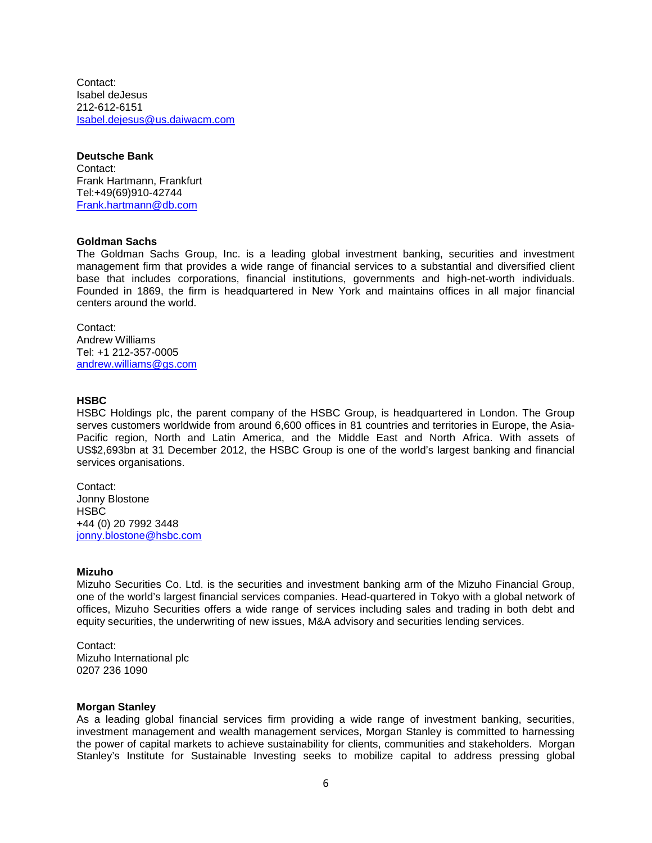Contact: Isabel deJesus 212-612-6151 [Isabel.dejesus@us.daiwacm.com](mailto:Isabel.dejesus@us.daiwacm.com)

**Deutsche Bank** Contact: Frank Hartmann, Frankfurt [Tel:+49\(69\)910-42744](tel:+49(69)910-42744) [Frank.hartmann@db.com](mailto:Frank.hartmann@db.com)

### **Goldman Sachs**

The Goldman Sachs Group, Inc. is a leading global investment banking, securities and investment management firm that provides a wide range of financial services to a substantial and diversified client base that includes corporations, financial institutions, governments and high-net-worth individuals. Founded in 1869, the firm is headquartered in New York and maintains offices in all major financial centers around the world.

Contact: Andrew Williams Tel: +1 212-357-0005 andrew.williams@gs.com

### **HSBC**

HSBC Holdings plc, the parent company of the HSBC Group, is headquartered in London. The Group serves customers worldwide from around 6,600 offices in 81 countries and territories in Europe, the Asia-Pacific region, North and Latin America, and the Middle East and North Africa. With assets of US\$2,693bn at 31 December 2012, the HSBC Group is one of the world's largest banking and financial services organisations.

Contact: Jonny Blostone **HSBC** +44 (0) 20 7992 3448 [jonny.blostone@hsbc.com](mailto:jonny.blostone@hsbc.com)

#### **Mizuho**

Mizuho Securities Co. Ltd. is the securities and investment banking arm of the Mizuho Financial Group, one of the world's largest financial services companies. Head-quartered in Tokyo with a global network of offices, Mizuho Securities offers a wide range of services including sales and trading in both debt and equity securities, the underwriting of new issues, M&A advisory and securities lending services.

Contact: Mizuho International plc 0207 236 1090

#### **Morgan Stanley**

As a leading global financial services firm providing a wide range of investment banking, securities, investment management and wealth management services, Morgan Stanley is committed to harnessing the power of capital markets to achieve sustainability for clients, communities and stakeholders. Morgan Stanley's Institute for Sustainable Investing seeks to mobilize capital to address pressing global